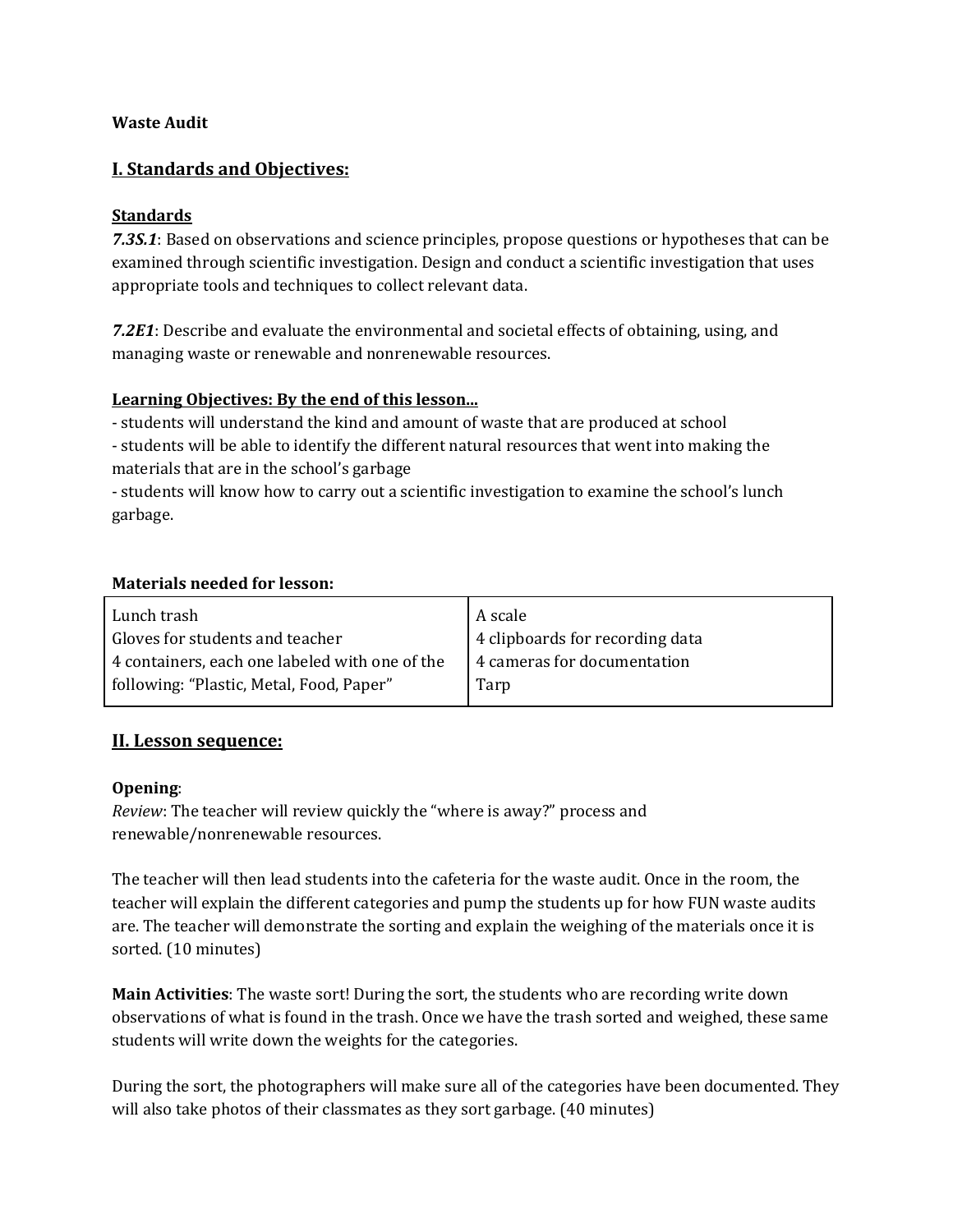#### **Waste Audit**

## **I. Standards and Objectives:**

#### **Standards**

**7.3S.1**: Based on observations and science principles, propose questions or hypotheses that can be examined through scientific investigation. Design and conduct a scientific investigation that uses appropriate tools and techniques to collect relevant data.

**7.2E1**: Describe and evaluate the environmental and societal effects of obtaining, using, and managing waste or renewable and nonrenewable resources.

#### **Learning Objectives: By the end of this lesson...**

- students will understand the kind and amount of waste that are produced at school

- students will be able to identify the different natural resources that went into making the materials that are in the school's garbage

- students will know how to carry out a scientific investigation to examine the school's lunch garbage.

#### **Materials needed for lesson:**

| Lunch trash                                    | A scale                         |
|------------------------------------------------|---------------------------------|
| Gloves for students and teacher                | 4 clipboards for recording data |
| 4 containers, each one labeled with one of the | 4 cameras for documentation     |
| following: "Plastic, Metal, Food, Paper"       | Tarp                            |
|                                                |                                 |

## **II. Lesson sequence:**

#### **Opening**:

*Review*: The teacher will review quickly the "where is away?" process and renewable/nonrenewable resources.

The teacher will then lead students into the cafeteria for the waste audit. Once in the room, the teacher will explain the different categories and pump the students up for how FUN waste audits are. The teacher will demonstrate the sorting and explain the weighing of the materials once it is sorted. (10 minutes)

**Main Activities**: The waste sort! During the sort, the students who are recording write down observations of what is found in the trash. Once we have the trash sorted and weighed, these same students will write down the weights for the categories.

During the sort, the photographers will make sure all of the categories have been documented. They will also take photos of their classmates as they sort garbage. (40 minutes)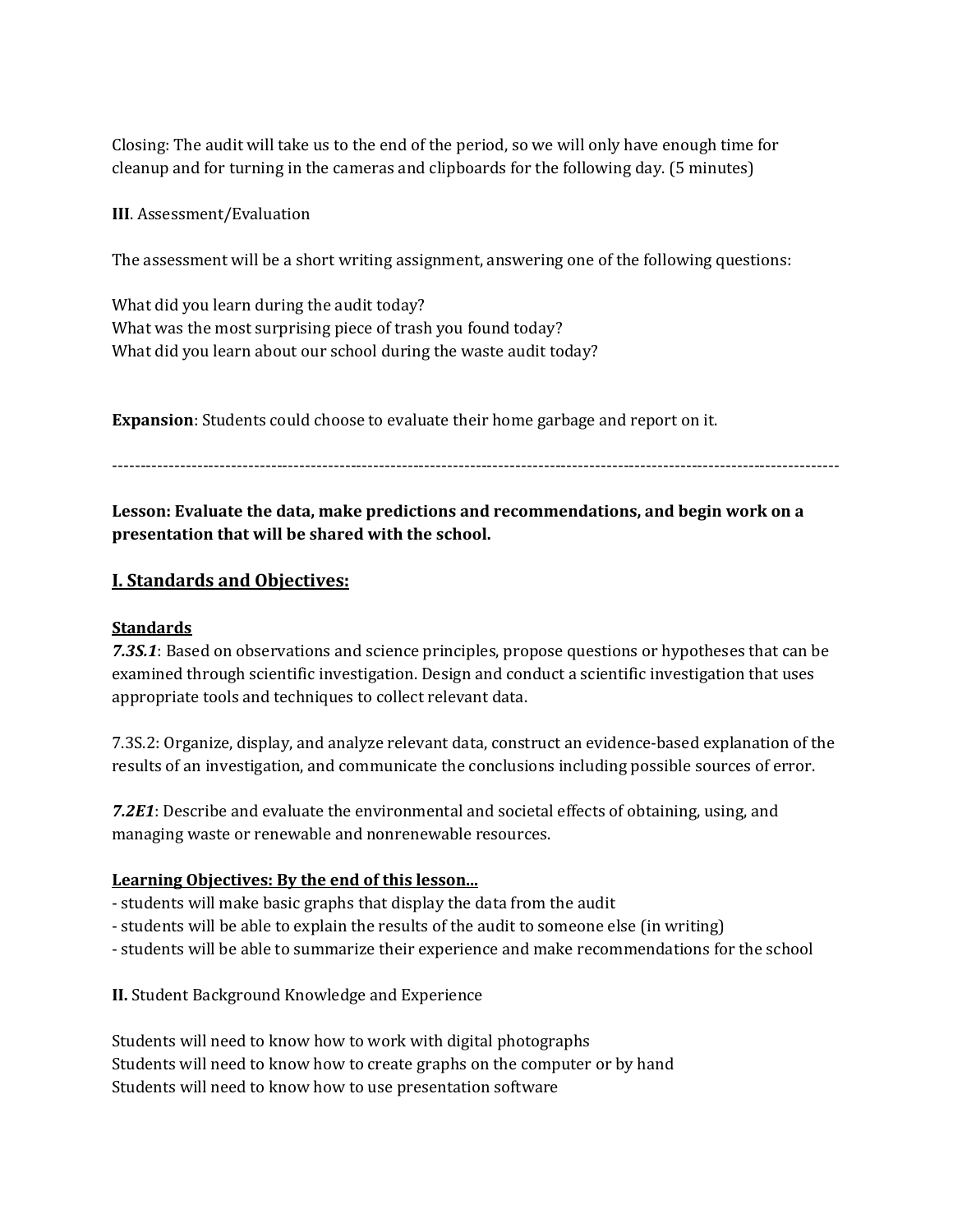Closing: The audit will take us to the end of the period, so we will only have enough time for cleanup and for turning in the cameras and clipboards for the following day. (5 minutes)

**III**. Assessment/Evaluation

The assessment will be a short writing assignment, answering one of the following questions:

What did you learn during the audit today? What was the most surprising piece of trash you found today? What did you learn about our school during the waste audit today?

**Expansion**: Students could choose to evaluate their home garbage and report on it.

‐‐‐‐‐‐‐‐‐‐‐‐‐‐‐‐‐‐‐‐‐‐‐‐‐‐‐‐‐‐‐‐‐‐‐‐‐‐‐‐‐‐‐‐‐‐‐‐‐‐‐‐‐‐‐‐‐‐‐‐‐‐‐‐‐‐‐‐‐‐‐‐‐‐‐‐‐‐‐‐‐‐‐‐‐‐‐‐‐‐‐‐‐‐‐‐‐‐‐‐‐‐‐‐‐‐‐‐‐‐‐‐‐‐‐‐‐‐‐‐‐‐‐‐‐‐‐‐

**Lesson: Evaluate the data, make predictions and recommendations, and begin work on a presentation that will be shared with the school.**

## **I. Standards and Objectives:**

## **Standards**

**7.3S.1**: Based on observations and science principles, propose questions or hypotheses that can be examined through scientific investigation. Design and conduct a scientific investigation that uses appropriate tools and techniques to collect relevant data.

7.3S.2: Organize, display, and analyze relevant data, construct an evidence-based explanation of the results of an investigation, and communicate the conclusions including possible sources of error.

**7.2E1**: Describe and evaluate the environmental and societal effects of obtaining, using, and managing waste or renewable and nonrenewable resources.

## **Learning Objectives: By the end of this lesson...**

- students will make basic graphs that display the data from the audit
- students will be able to explain the results of the audit to someone else (in writing)
- students will be able to summarize their experience and make recommendations for the school

**II.** Student Background Knowledge and Experience

Students will need to know how to work with digital photographs Students will need to know how to create graphs on the computer or by hand Students will need to know how to use presentation software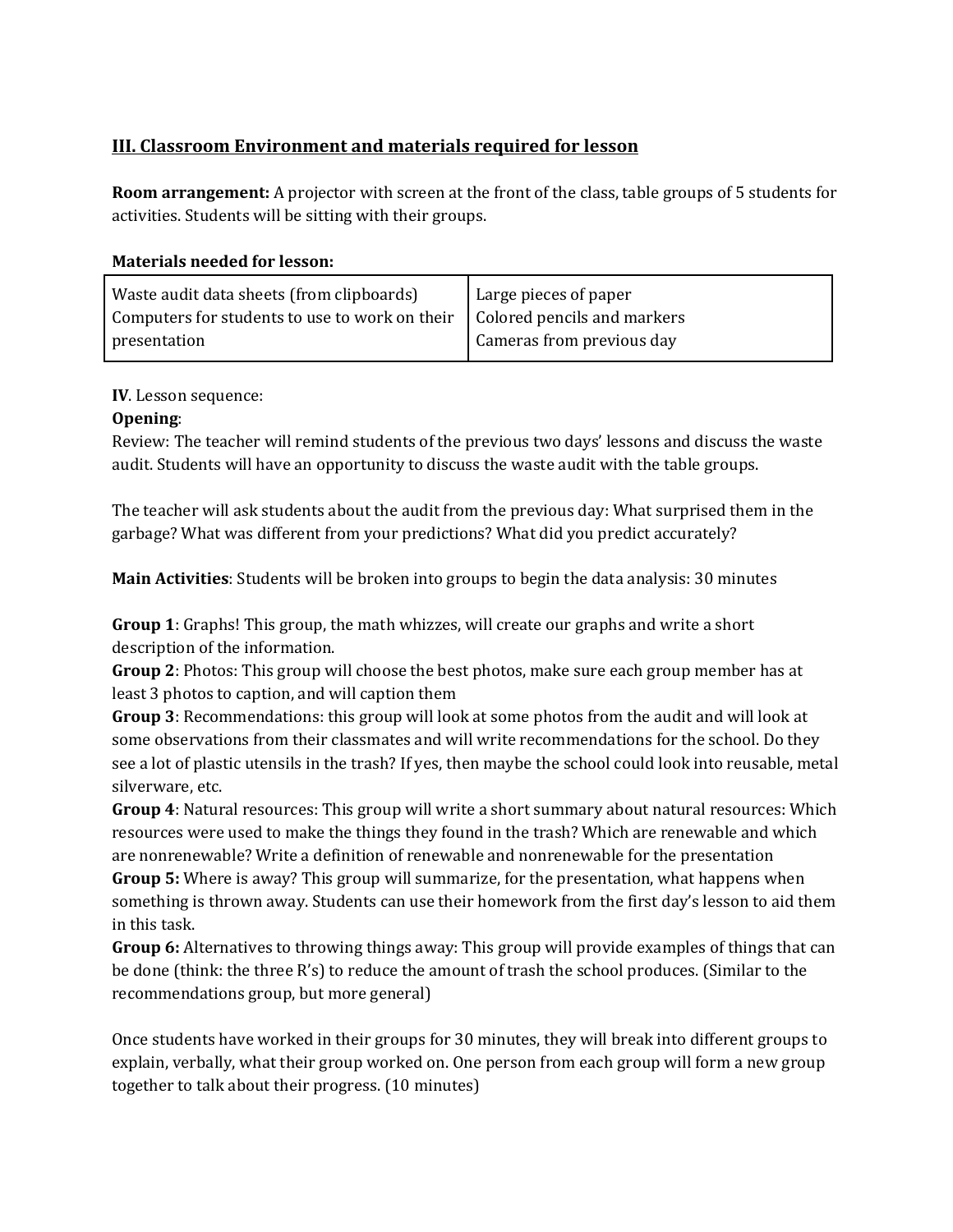# **III. Classroom Environment and materials required for lesson**

**Room arrangement:** A projector with screen at the front of the class, table groups of 5 students for activities. Students will be sitting with their groups.

# **Materials needed for lesson:**

| Waste audit data sheets (from clipboards)                                          | Large pieces of paper     |
|------------------------------------------------------------------------------------|---------------------------|
| Computers for students to use to work on their $\vert$ Colored pencils and markers |                           |
| presentation                                                                       | Cameras from previous day |

## **IV**. Lesson sequence:

# **Opening**:

Review: The teacher will remind students of the previous two days' lessons and discuss the waste audit. Students will have an opportunity to discuss the waste audit with the table groups.

The teacher will ask students about the audit from the previous day: What surprised them in the garbage? What was different from your predictions? What did you predict accurately?

**Main Activities**: Students will be broken into groups to begin the data analysis: 30 minutes

**Group 1**: Graphs! This group, the math whizzes, will create our graphs and write a short description of the information.

**Group** 2: Photos: This group will choose the best photos, make sure each group member has at least 3 photos to caption, and will caption them

**Group** 3: Recommendations: this group will look at some photos from the audit and will look at some observations from their classmates and will write recommendations for the school. Do they see a lot of plastic utensils in the trash? If yes, then maybe the school could look into reusable, metal silverware, etc.

**Group** 4: Natural resources: This group will write a short summary about natural resources: Which resources were used to make the things they found in the trash? Which are renewable and which are nonrenewable? Write a definition of renewable and nonrenewable for the presentation

**Group** 5: Where is away? This group will summarize, for the presentation, what happens when something is thrown away. Students can use their homework from the first day's lesson to aid them in this task.

**Group 6:** Alternatives to throwing things away: This group will provide examples of things that can be done (think: the three R's) to reduce the amount of trash the school produces. (Similar to the recommendations group, but more general)

Once students have worked in their groups for 30 minutes, they will break into different groups to explain, verbally, what their group worked on. One person from each group will form a new group together to talk about their progress. (10 minutes)